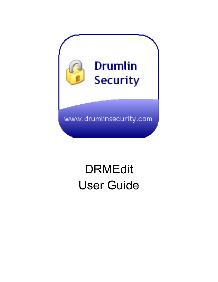

# DRMEdit User Guide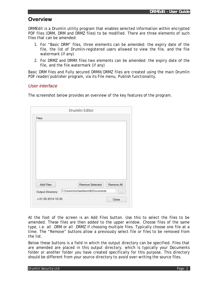# **Overview**

DRMEdit is a Drumlin utility program that enables selected information within encrypted PDF files (DRM, DRM and DRMZ files) to be modified. There are three elements of such files that can be amended:

- 1. For "Basic DRM" files, three elements can be amended: the expiry date of the file, the list of Drumlin-registered users allowed to view the file, and the file watermark (if any)
- 2. For DRMZ and DRMX files two elements can be amended: the expiry date of the file, and the file watermark (if any)

Basic DRM files and Fully secured DRMX/DRMZ files are created using the main Drumlin PDF reader/publisher program, via its File menu, Publish functionality.

## *User interface*

The screenshot below provides an overview of the key features of the program.

| Files:<br>Remove All<br><b>Add Files</b><br>Remove Selected<br>C:\Users\michaeldesmith\Documents<br>Output Directory:<br> | <b>Drumlin Editor</b> |
|---------------------------------------------------------------------------------------------------------------------------|-----------------------|
|                                                                                                                           |                       |
|                                                                                                                           |                       |
|                                                                                                                           |                       |
|                                                                                                                           |                       |
|                                                                                                                           |                       |
|                                                                                                                           |                       |
|                                                                                                                           |                       |
|                                                                                                                           |                       |
|                                                                                                                           |                       |
|                                                                                                                           |                       |
|                                                                                                                           |                       |
|                                                                                                                           |                       |
| v.01.00 2014-10-30<br>Close                                                                                               |                       |

At the foot of the screen is an Add Files button. Use this to select the files to be amended. These files are then added to the upper window. Choose files of the same type, i.e. all .DRM or all .DRMZ if choosing multiple files. Typically choose one file at a time. The "Remove" buttons allow a previously select file or files to be removed from the list.

Below these buttons is a field in which the output directory can be specified. Files that are amended are placed in this output directory, which is typically your Documents folder or another folder you have created specifically for this purpose. This directory should be different from your source directory to avoid over-writing the source files.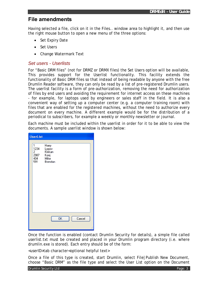## **File amendments**

Having selected a file, click on it in the Files.. window area to highlight it, and then use the right mouse button to open a new menu of the three options:

- Set Expiry Date
- Set Users
- Change Watermark Text

#### *Set users - Userlists*

For "Basic DRM files" (not for DRMZ or DRMX files) the Set Users option will be available, This provides support for the Userlist functionality. This facility extends the functionality of Basic DRM files so that instead of being readable by anyone with the free Drumlin Reader software, they can only be read by a list of pre-registered Drumlin users. The userlist facility is a form of pre-authorization, removing the need for authorization of files by end users and avoiding the requirement for internet access on these machines - for example, for laptops used by engineers or sales staff in the field. It is also a convenient way of setting up a computer center (e.g. a computer training room) with files that are enabled for the registered machines, without the need to authorize every document on every machine. A different example would be for the distribution of a periodical to subscribers, for example a weekly or monthly newsletter or journal.

Each machine must be included within the userlist in order for it to be able to view the documents. A sample userlist window is shown below:

| <b>UserList</b>                           |                                                     |           |        |  |
|-------------------------------------------|-----------------------------------------------------|-----------|--------|--|
| 1<br>1234<br>2<br>2<br>2987<br>404<br>591 | Harry<br>Lopov<br>Klokan<br>Konj<br>Mike<br>Brendan |           |        |  |
|                                           |                                                     | <b>OK</b> | Cancel |  |

Once the function is enabled (contact Drumlin Security for details), a simple file called userlist.txt must be created and placed in your Drumlin program directory (i.e. where drumlin.exe is stored). Each entry should be of the form:

<userID>tab character<optional helpful text>

Once a file of this type is created, start Drumlin, select File|Publish New Document, choose "Basic DRM" as the file type and select the User List option on the Document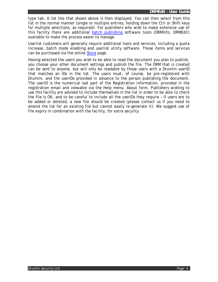type tab. A list like that shown above is then displayed. You can then select from this list in the normal manner (single or multiple entries, holding down the Ctrl or Shift keys for multiple selections, as required). For publishers who wish to make extensive use of this facility there are additional batch publishing software tools (DRMInfo, DRMEdit) available to make the process easier to manage.

Userlist customers will generally require additional tools and services, including a quota increase, batch mode enabling and userlist utility software. These items and services can be purchased via the online Store page.

Having selected the users you wish to be able to read the document you plan to publish, you choose your other document settings and publish the file. The DRM that is created can be sent to anyone, but will only be readable by those users with a Drumlin userID that matches an IDs in the list. The users must, of course, be pre-registered with Drumlin, and the userIDs provided in advance to the person publishing the document. The userID is the numerical last part of the Registration information, provided in the registration email and viewable via the Help menu, About form. Publishers wishing to use this facility are advised to include themselves in the list in order to be able to check the file is OK, and to be careful to include all the userIDs they require – if users are to be added or deleted, a new file should be created (please contact us if you need to amend the list for an existing file but cannot easily re-generate it). We suggest use of file expiry in combination with the facility, for extra security.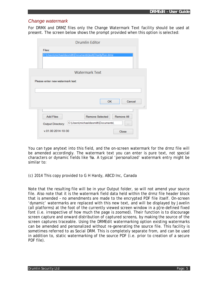#### *Change watermark*

For DRMX and DRMZ files only the Change Watermark Text facility should be used at present. The screen below shows the prompt provided when this option is selected:

| <b>Drumlin Editor</b>                                                                                                             |
|-----------------------------------------------------------------------------------------------------------------------------------|
| Files:                                                                                                                            |
| C:\Users\michaeldesmith\Documents\test\CharityRun.drmz                                                                            |
| <b>Watermark Text</b>                                                                                                             |
|                                                                                                                                   |
| OK<br>Cancel                                                                                                                      |
|                                                                                                                                   |
| <b>Add Files</b><br><b>Remove Selected</b><br><b>Remove All</b><br>C:\Users\michaeldesmith\Documents\<br><b>Output Directory:</b> |

You can type anytext into this field, and the on-screen watermark for the drmz file will be amended accordingly. The watermark text you can enter is pure text, not special characters or dynamic fields like %a. A typical 'personalized' watermark entry might be similar to:

(c) 2014 This copy provided to G H Hardy, ABCD Inc, Canada

Note that the resulting file will be in your Output folder, so will not amend your source file. Also note that it is the watermark field data held within the drmz file header block that is amended – no amendments are made to the encrypted PDF file itself. On-screen 'dynamic' watermarks are replaced with this new text, and will be displayed by Javelin (all platforms) at the foot of the currently viewed screen window in a p[re-defined fixed font (i.e. irrespective of how much the page is zoomed). Their function is to discourage screen capture and onward distribution of captured screens, by making the source of the screen captures traceable. Using the DRMEdit watermarking option existing watermarks can be amended and personalized without re-generating the source file. This facility is sometimes referred to as Social DRM. This is completely separate from, and can be used in addition to, static watermarking of the source PDF (i.e. prior to creation of a secure PDF file).